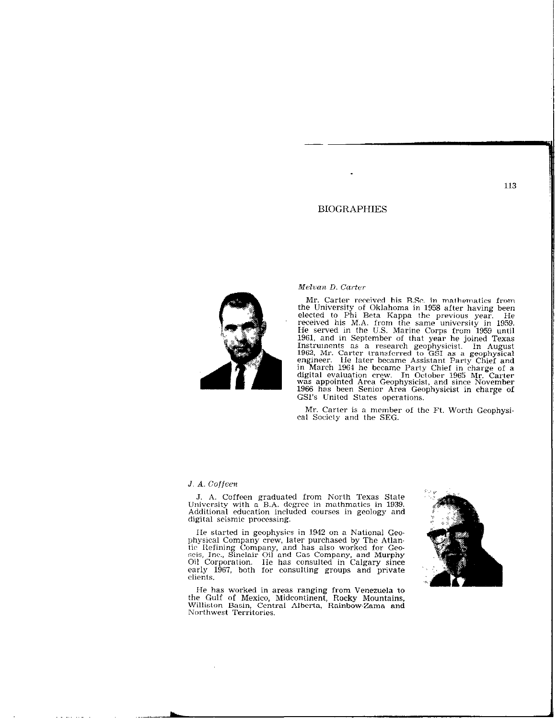# BIOGRAPHIES



# $Melvan D. Carter$

Mr. Carter received his B.Sc. in malhematics from the University of Oklahoma in 1958 after having been elected to Phi Beta Kappa the previous year. He received his M.A. from the same universily in 1959. He served in the U.S. Marine Corps from 1959 unti 1961, and in September of that year he joined Texas Instruments as a research geophysicist. In August 19G2, Mr. Carter lransfcrred to GSI as a geophysical engineer. lie later became Assistant Party Chief and in March 1961 he became Party Chief in charge of a digital evaluation crew. In October 1965 Mr. Carter was appointed Area Geophysicist, and since November 1966 haw been Senior Area Geophysicist in charge of GSI's Unilcd States operations.

Mr. Carter is a member of the Ft. Worth Geophysical Socicly and the SEG.

#### J. A. Coffeen

J. A. Coffeen graduated from North Texas State University with a B.A. degree in mathmatics in 1939. Additional education included cowscs in geology and digital seismic processing.

IIe started in geophysics in 1942 on a National Geophysical Company crew, later purchased by The Atlantic I&fining Company, and has also worked for Geo-seis, Inc., Sinclair Oil and Gas Company, and Murphy Oil Corporation. IIe has consulted in Calgary since early 1967, both for consulting groups and privat clients.

He has worked in areas ranging from Venezuela to the Gulf of Mexico, Midcontinent, Rocky Mountain Williston Basin, Central Alberta, Rainbow-Zama and<br>Northwest Territories.

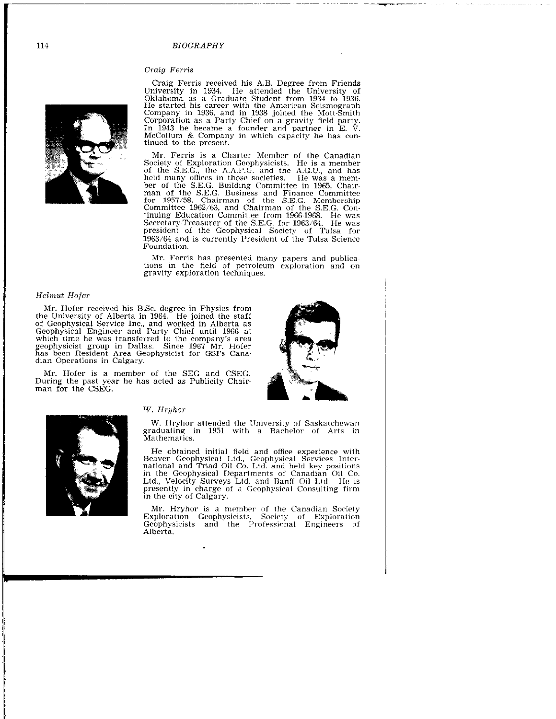#### **BIOGRAPHY**

### Craig Ferris



Craig Ferris received his A.B. Degree from Friends<br>University in 1934. He attended the University of<br>Oklahoma as a Graduate Student from 1934 to 1936. He started his career with the American Scismograph<br>Company in 1936, and in 1938 joined the Mott-Smith<br>Company in 1936, and in 1938 joined the Mott-Smith<br>Corporation as a Party Chief on a gravity field party.<br>In 1943 he be McCollum & Company in which capacity he has continued to the present.

Mr. Ferris is a Charter Member of the Canadian Society of Exploration Geophysicists. He is a member<br>of the S.E.G., the A.A.P.G. and the A.G.U., and has of the S.E.G., the A.A.P.G. and the A.G.U., and nas<br>held many offices in those societies. Ile was a mem-<br>ber of the S.E.G. Building Committee in 1965, Chair-<br>man of the S.E.G. Business and Finance Committee<br>for 1957/58, Ch president of the Geophysical Society of Tulsa for 1963/64 and is currently President of the Tulsa Science Foundation.

Mr. Ferris has presented many papers and publications in the field of petroleum exploration and on gravity exploration techniques.

## Helmut Hofer

Mr. Hofer received his B.Sc. degree in Physics from<br>the University of Alberta in 1964. He joined the staff<br>of Geophysical Service Inc., and worked in Alberta as<br>Geophysical Engineer and Party Chief until 1966 at<br>which tim structure and prophysicist group in Dallas. Since 1967 Mr. Hofer<br>has been Resident Area Geophysicist for GSI's Canadian Operations in Calgary.

Mr. Hofer is a member of the SEG and CSEG. During the past year he has acted as Publicity Chairman for the CSEG.





#### W. Hryhor

W. Hryhor attended the University of Saskatchewan graduating in 1951 with a Bachelor of Arts in Mathematics.

He obtained initial field and office experience with<br>Beaver Geophysical Ltd., Geophysical Services Inter-<br>national and Triad Oil Co. Ltd. and held key positions<br>in the Geophysical Departments of Canadian Oil Co.<br> $\frac{1}{100}$ Ltd., Velocity Surveys Ltd. and Banff Oil Ltd. He is presently in charge of a Geophysical Consulting firm in the city of Calgary.

Mr. Hryhor is a member of the Canadian Society<br>Exploration Geophysicists, Society of Exploration<br>Geophysicists and the Professional Engineers of Alberta.